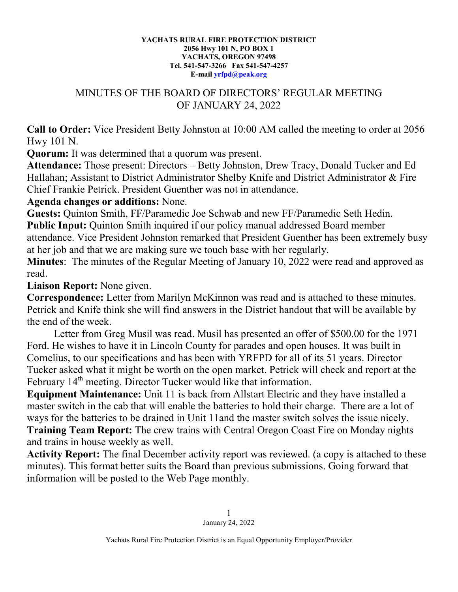## **YACHATS RURAL FIRE PROTECTION DISTRICT 2056 Hwy 101 N, PO BOX 1 YACHATS, OREGON 97498 Tel. 541-547-3266 Fax 541-547-4257 E-mail [yrfpd@peak.org](mailto:yrfpd@peak.org)**

## MINUTES OF THE BOARD OF DIRECTORS' REGULAR MEETING OF JANUARY 24, 2022

**Call to Order:** Vice President Betty Johnston at 10:00 AM called the meeting to order at 2056 Hwy 101 N.

**Quorum:** It was determined that a quorum was present.

**Attendance:** Those present: Directors – Betty Johnston, Drew Tracy, Donald Tucker and Ed Hallahan; Assistant to District Administrator Shelby Knife and District Administrator & Fire Chief Frankie Petrick. President Guenther was not in attendance.

## **Agenda changes or additions:** None.

**Guests:** Quinton Smith, FF/Paramedic Joe Schwab and new FF/Paramedic Seth Hedin. **Public Input:** Quinton Smith inquired if our policy manual addressed Board member attendance. Vice President Johnston remarked that President Guenther has been extremely busy at her job and that we are making sure we touch base with her regularly.

**Minutes**: The minutes of the Regular Meeting of January 10, 2022 were read and approved as read.

**Liaison Report:** None given.

**Correspondence:** Letter from Marilyn McKinnon was read and is attached to these minutes. Petrick and Knife think she will find answers in the District handout that will be available by the end of the week.

Letter from Greg Musil was read. Musil has presented an offer of \$500.00 for the 1971 Ford. He wishes to have it in Lincoln County for parades and open houses. It was built in Cornelius, to our specifications and has been with YRFPD for all of its 51 years. Director Tucker asked what it might be worth on the open market. Petrick will check and report at the February  $14<sup>th</sup>$  meeting. Director Tucker would like that information.

**Equipment Maintenance:** Unit 11 is back from Allstart Electric and they have installed a master switch in the cab that will enable the batteries to hold their charge. There are a lot of ways for the batteries to be drained in Unit 11and the master switch solves the issue nicely. **Training Team Report:** The crew trains with Central Oregon Coast Fire on Monday nights and trains in house weekly as well.

**Activity Report:** The final December activity report was reviewed. (a copy is attached to these minutes). This format better suits the Board than previous submissions. Going forward that information will be posted to the Web Page monthly.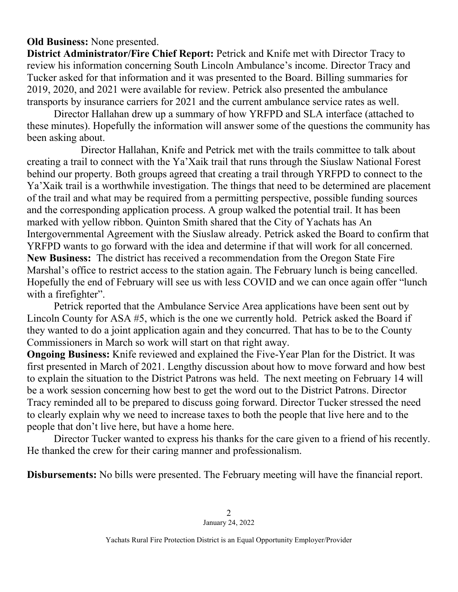## **Old Business:** None presented.

**District Administrator/Fire Chief Report:** Petrick and Knife met with Director Tracy to review his information concerning South Lincoln Ambulance's income. Director Tracy and Tucker asked for that information and it was presented to the Board. Billing summaries for 2019, 2020, and 2021 were available for review. Petrick also presented the ambulance transports by insurance carriers for 2021 and the current ambulance service rates as well.

Director Hallahan drew up a summary of how YRFPD and SLA interface (attached to these minutes). Hopefully the information will answer some of the questions the community has been asking about.

Director Hallahan, Knife and Petrick met with the trails committee to talk about creating a trail to connect with the Ya'Xaik trail that runs through the Siuslaw National Forest behind our property. Both groups agreed that creating a trail through YRFPD to connect to the Ya'Xaik trail is a worthwhile investigation. The things that need to be determined are placement of the trail and what may be required from a permitting perspective, possible funding sources and the corresponding application process. A group walked the potential trail. It has been marked with yellow ribbon. Quinton Smith shared that the City of Yachats has An Intergovernmental Agreement with the Siuslaw already. Petrick asked the Board to confirm that YRFPD wants to go forward with the idea and determine if that will work for all concerned. **New Business:** The district has received a recommendation from the Oregon State Fire Marshal's office to restrict access to the station again. The February lunch is being cancelled. Hopefully the end of February will see us with less COVID and we can once again offer "lunch with a firefighter".

Petrick reported that the Ambulance Service Area applications have been sent out by Lincoln County for ASA #5, which is the one we currently hold. Petrick asked the Board if they wanted to do a joint application again and they concurred. That has to be to the County Commissioners in March so work will start on that right away.

**Ongoing Business:** Knife reviewed and explained the Five-Year Plan for the District. It was first presented in March of 2021. Lengthy discussion about how to move forward and how best to explain the situation to the District Patrons was held. The next meeting on February 14 will be a work session concerning how best to get the word out to the District Patrons. Director Tracy reminded all to be prepared to discuss going forward. Director Tucker stressed the need to clearly explain why we need to increase taxes to both the people that live here and to the people that don't live here, but have a home here.

Director Tucker wanted to express his thanks for the care given to a friend of his recently. He thanked the crew for their caring manner and professionalism.

**Disbursements:** No bills were presented. The February meeting will have the financial report.